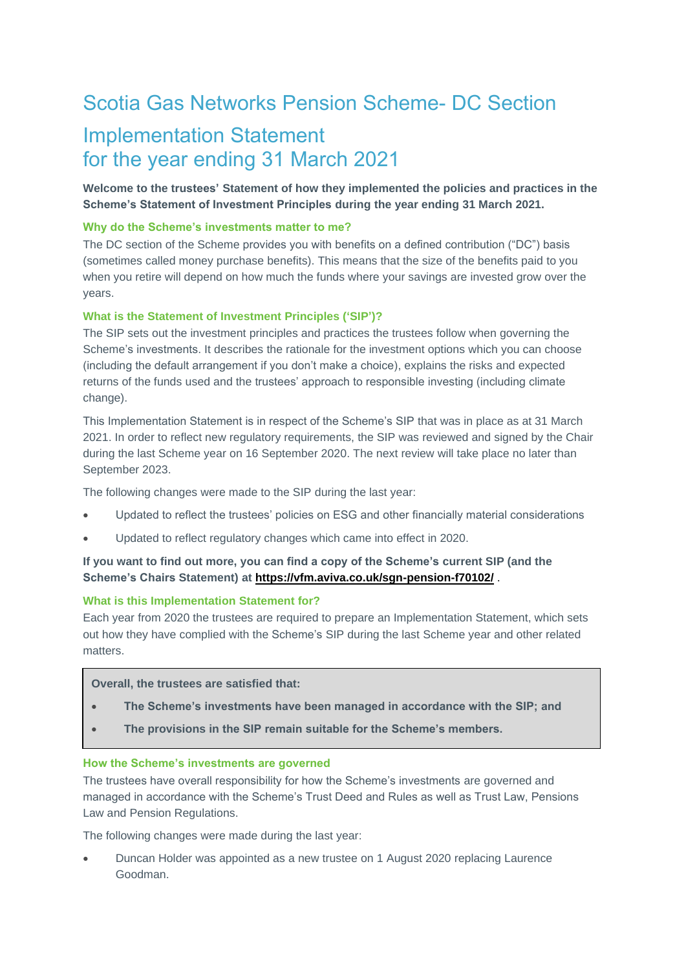# Scotia Gas Networks Pension Scheme- DC Section

# Implementation Statement for the year ending 31 March 2021

**Welcome to the trustees' Statement of how they implemented the policies and practices in the Scheme's Statement of Investment Principles during the year ending 31 March 2021.**

# **Why do the Scheme's investments matter to me?**

The DC section of the Scheme provides you with benefits on a defined contribution ("DC") basis (sometimes called money purchase benefits). This means that the size of the benefits paid to you when you retire will depend on how much the funds where your savings are invested grow over the years.

# **What is the Statement of Investment Principles ('SIP')?**

The SIP sets out the investment principles and practices the trustees follow when governing the Scheme's investments. It describes the rationale for the investment options which you can choose (including the default arrangement if you don't make a choice), explains the risks and expected returns of the funds used and the trustees' approach to responsible investing (including climate change).

This Implementation Statement is in respect of the Scheme's SIP that was in place as at 31 March 2021. In order to reflect new regulatory requirements, the SIP was reviewed and signed by the Chair during the last Scheme year on 16 September 2020. The next review will take place no later than September 2023.

The following changes were made to the SIP during the last year:

- Updated to reflect the trustees' policies on ESG and other financially material considerations
- Updated to reflect regulatory changes which came into effect in 2020.

# **If you want to find out more, you can find a copy of the Scheme's current SIP (and the Scheme's Chairs Statement) at <https://vfm.aviva.co.uk/sgn-pension-f70102/>** .

#### **What is this Implementation Statement for?**

Each year from 2020 the trustees are required to prepare an Implementation Statement, which sets out how they have complied with the Scheme's SIP during the last Scheme year and other related matters.

#### **Overall, the trustees are satisfied that:**

- **The Scheme's investments have been managed in accordance with the SIP; and**
- **The provisions in the SIP remain suitable for the Scheme's members.**

#### **How the Scheme's investments are governed**

The trustees have overall responsibility for how the Scheme's investments are governed and managed in accordance with the Scheme's Trust Deed and Rules as well as Trust Law, Pensions Law and Pension Regulations.

The following changes were made during the last year:

• Duncan Holder was appointed as a new trustee on 1 August 2020 replacing Laurence Goodman.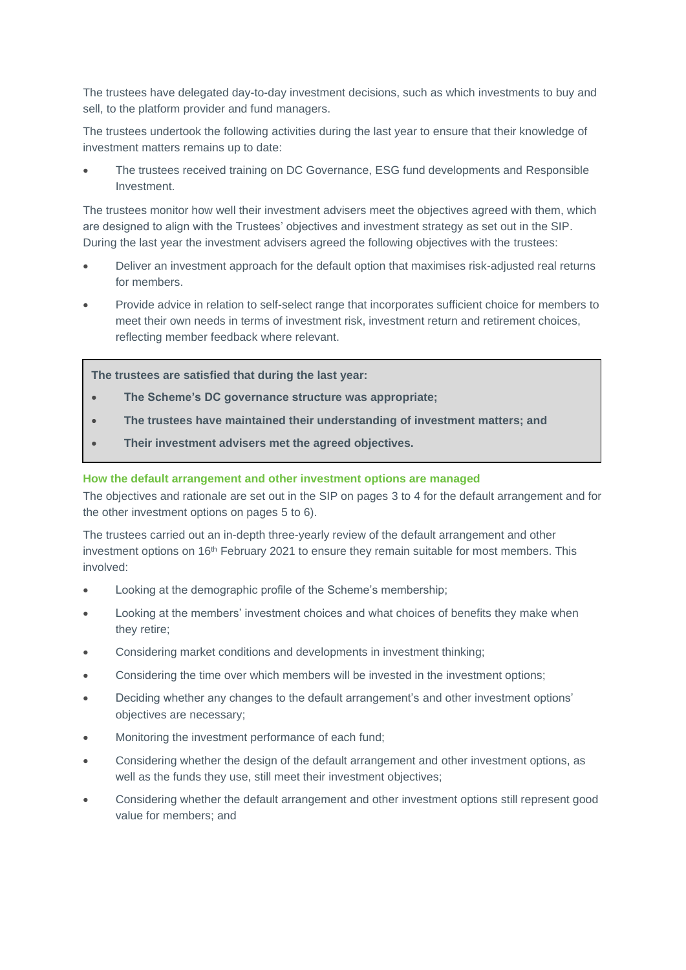The trustees have delegated day-to-day investment decisions, such as which investments to buy and sell, to the platform provider and fund managers.

The trustees undertook the following activities during the last year to ensure that their knowledge of investment matters remains up to date:

• The trustees received training on DC Governance, ESG fund developments and Responsible Investment.

The trustees monitor how well their investment advisers meet the objectives agreed with them, which are designed to align with the Trustees' objectives and investment strategy as set out in the SIP. During the last year the investment advisers agreed the following objectives with the trustees:

- Deliver an investment approach for the default option that maximises risk-adjusted real returns for members.
- Provide advice in relation to self-select range that incorporates sufficient choice for members to meet their own needs in terms of investment risk, investment return and retirement choices, reflecting member feedback where relevant.

**The trustees are satisfied that during the last year:**

- **The Scheme's DC governance structure was appropriate;**
- **The trustees have maintained their understanding of investment matters; and**
- **Their investment advisers met the agreed objectives.**

## **How the default arrangement and other investment options are managed**

The objectives and rationale are set out in the SIP on pages 3 to 4 for the default arrangement and for the other investment options on pages 5 to 6).

The trustees carried out an in-depth three-yearly review of the default arrangement and other investment options on 16<sup>th</sup> February 2021 to ensure they remain suitable for most members. This involved:

- Looking at the demographic profile of the Scheme's membership;
- Looking at the members' investment choices and what choices of benefits they make when they retire;
- Considering market conditions and developments in investment thinking;
- Considering the time over which members will be invested in the investment options;
- Deciding whether any changes to the default arrangement's and other investment options' objectives are necessary;
- Monitoring the investment performance of each fund;
- Considering whether the design of the default arrangement and other investment options, as well as the funds they use, still meet their investment objectives;
- Considering whether the default arrangement and other investment options still represent good value for members; and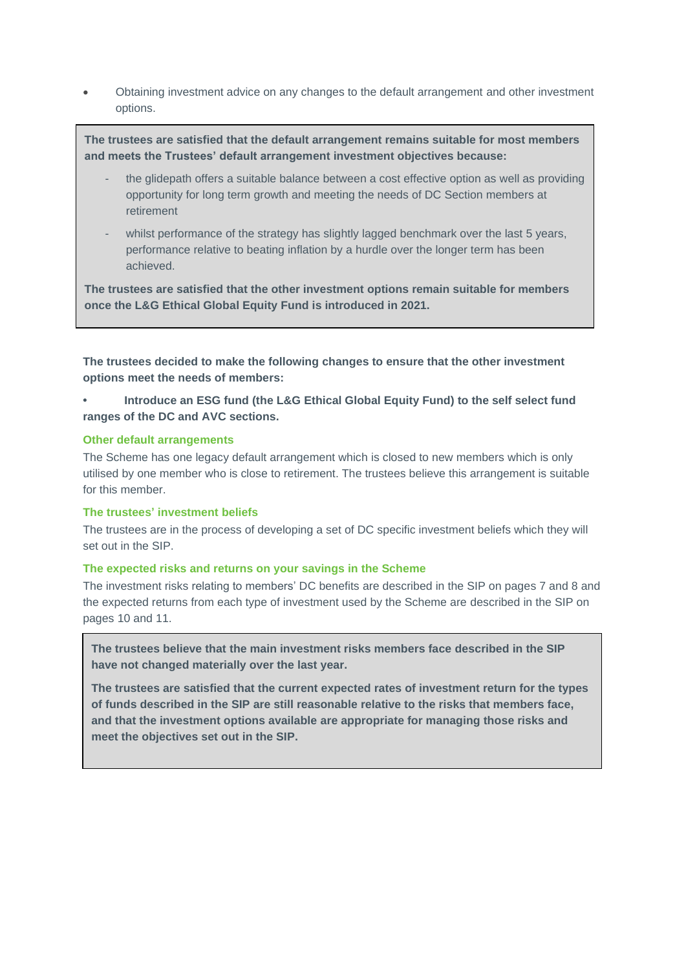• Obtaining investment advice on any changes to the default arrangement and other investment options.

**The trustees are satisfied that the default arrangement remains suitable for most members and meets the Trustees' default arrangement investment objectives because:**

- the glidepath offers a suitable balance between a cost effective option as well as providing opportunity for long term growth and meeting the needs of DC Section members at retirement
- whilst performance of the strategy has slightly lagged benchmark over the last 5 years, performance relative to beating inflation by a hurdle over the longer term has been achieved.

**The trustees are satisfied that the other investment options remain suitable for members once the L&G Ethical Global Equity Fund is introduced in 2021.**

**The trustees decided to make the following changes to ensure that the other investment options meet the needs of members:**

# **• Introduce an ESG fund (the L&G Ethical Global Equity Fund) to the self select fund ranges of the DC and AVC sections.**

#### **Other default arrangements**

The Scheme has one legacy default arrangement which is closed to new members which is only utilised by one member who is close to retirement. The trustees believe this arrangement is suitable for this member.

## **The trustees' investment beliefs**

The trustees are in the process of developing a set of DC specific investment beliefs which they will set out in the SIP.

#### **The expected risks and returns on your savings in the Scheme**

The investment risks relating to members' DC benefits are described in the SIP on pages 7 and 8 and the expected returns from each type of investment used by the Scheme are described in the SIP on pages 10 and 11.

**The trustees believe that the main investment risks members face described in the SIP have not changed materially over the last year.**

**The trustees are satisfied that the current expected rates of investment return for the types of funds described in the SIP are still reasonable relative to the risks that members face, and that the investment options available are appropriate for managing those risks and meet the objectives set out in the SIP.**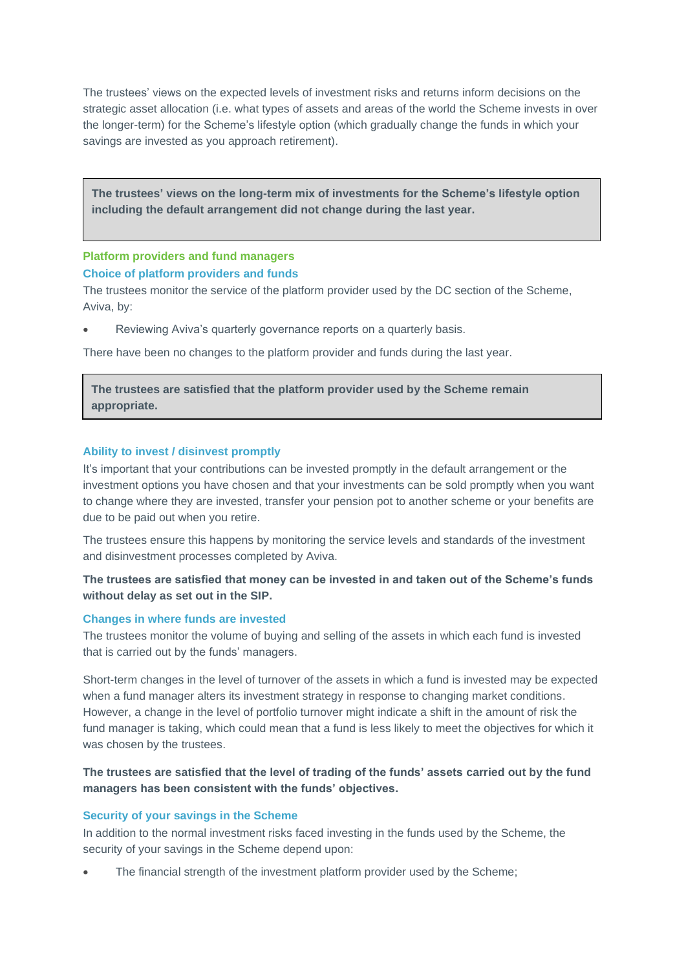The trustees' views on the expected levels of investment risks and returns inform decisions on the strategic asset allocation (i.e. what types of assets and areas of the world the Scheme invests in over the longer-term) for the Scheme's lifestyle option (which gradually change the funds in which your savings are invested as you approach retirement).

**The trustees' views on the long-term mix of investments for the Scheme's lifestyle option including the default arrangement did not change during the last year.**

# **Platform providers and fund managers Choice of platform providers and funds**

The trustees monitor the service of the platform provider used by the DC section of the Scheme, Aviva, by:

Reviewing Aviva's quarterly governance reports on a quarterly basis.

There have been no changes to the platform provider and funds during the last year.

# **The trustees are satisfied that the platform provider used by the Scheme remain appropriate.**

## **Ability to invest / disinvest promptly**

It's important that your contributions can be invested promptly in the default arrangement or the investment options you have chosen and that your investments can be sold promptly when you want to change where they are invested, transfer your pension pot to another scheme or your benefits are due to be paid out when you retire.

The trustees ensure this happens by monitoring the service levels and standards of the investment and disinvestment processes completed by Aviva.

# **The trustees are satisfied that money can be invested in and taken out of the Scheme's funds without delay as set out in the SIP.**

#### **Changes in where funds are invested**

The trustees monitor the volume of buying and selling of the assets in which each fund is invested that is carried out by the funds' managers.

Short-term changes in the level of turnover of the assets in which a fund is invested may be expected when a fund manager alters its investment strategy in response to changing market conditions. However, a change in the level of portfolio turnover might indicate a shift in the amount of risk the fund manager is taking, which could mean that a fund is less likely to meet the objectives for which it was chosen by the trustees.

**The trustees are satisfied that the level of trading of the funds' assets carried out by the fund managers has been consistent with the funds' objectives.**

#### **Security of your savings in the Scheme**

In addition to the normal investment risks faced investing in the funds used by the Scheme, the security of your savings in the Scheme depend upon:

The financial strength of the investment platform provider used by the Scheme;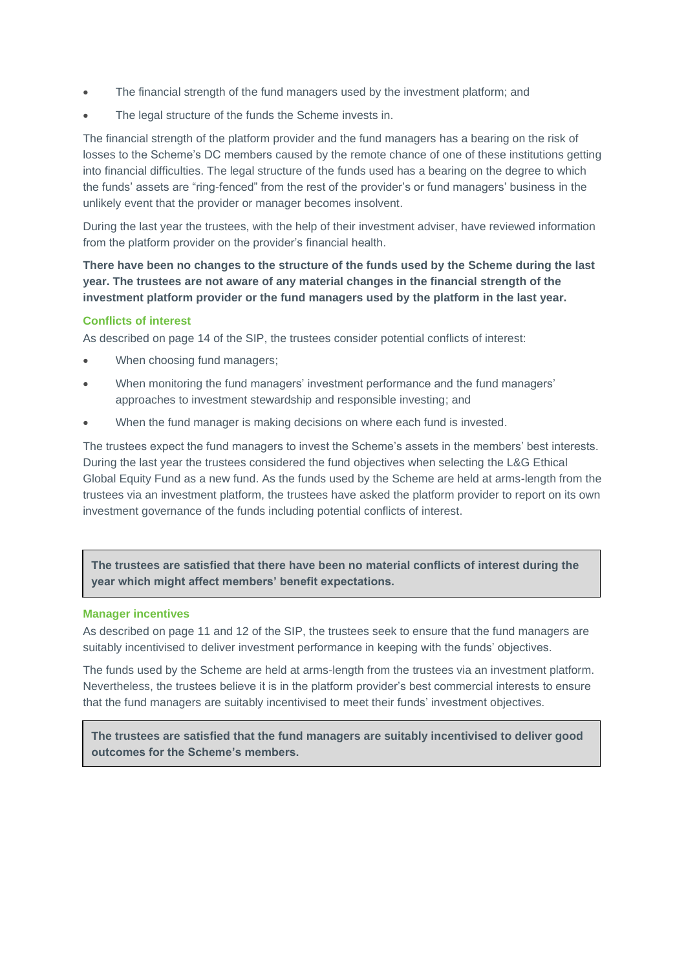- The financial strength of the fund managers used by the investment platform; and
- The legal structure of the funds the Scheme invests in.

The financial strength of the platform provider and the fund managers has a bearing on the risk of losses to the Scheme's DC members caused by the remote chance of one of these institutions getting into financial difficulties. The legal structure of the funds used has a bearing on the degree to which the funds' assets are "ring-fenced" from the rest of the provider's or fund managers' business in the unlikely event that the provider or manager becomes insolvent.

During the last year the trustees, with the help of their investment adviser, have reviewed information from the platform provider on the provider's financial health.

**There have been no changes to the structure of the funds used by the Scheme during the last year. The trustees are not aware of any material changes in the financial strength of the investment platform provider or the fund managers used by the platform in the last year.**

# **Conflicts of interest**

As described on page 14 of the SIP, the trustees consider potential conflicts of interest:

- When choosing fund managers;
- When monitoring the fund managers' investment performance and the fund managers' approaches to investment stewardship and responsible investing; and
- When the fund manager is making decisions on where each fund is invested.

The trustees expect the fund managers to invest the Scheme's assets in the members' best interests. During the last year the trustees considered the fund objectives when selecting the L&G Ethical Global Equity Fund as a new fund. As the funds used by the Scheme are held at arms-length from the trustees via an investment platform, the trustees have asked the platform provider to report on its own investment governance of the funds including potential conflicts of interest.

**The trustees are satisfied that there have been no material conflicts of interest during the year which might affect members' benefit expectations.**

#### **Manager incentives**

As described on page 11 and 12 of the SIP, the trustees seek to ensure that the fund managers are suitably incentivised to deliver investment performance in keeping with the funds' objectives.

The funds used by the Scheme are held at arms-length from the trustees via an investment platform. Nevertheless, the trustees believe it is in the platform provider's best commercial interests to ensure that the fund managers are suitably incentivised to meet their funds' investment objectives.

**The trustees are satisfied that the fund managers are suitably incentivised to deliver good outcomes for the Scheme's members.**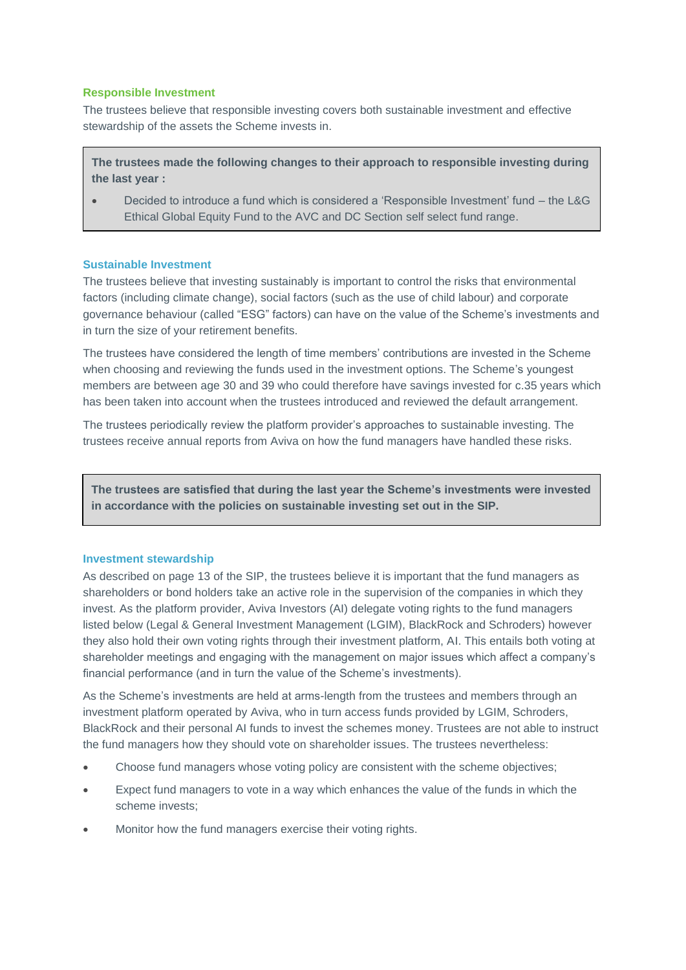# **Responsible Investment**

The trustees believe that responsible investing covers both sustainable investment and effective stewardship of the assets the Scheme invests in.

**The trustees made the following changes to their approach to responsible investing during the last year :**

• Decided to introduce a fund which is considered a 'Responsible Investment' fund – the L&G Ethical Global Equity Fund to the AVC and DC Section self select fund range.

#### **Sustainable Investment**

The trustees believe that investing sustainably is important to control the risks that environmental factors (including climate change), social factors (such as the use of child labour) and corporate governance behaviour (called "ESG" factors) can have on the value of the Scheme's investments and in turn the size of your retirement benefits.

The trustees have considered the length of time members' contributions are invested in the Scheme when choosing and reviewing the funds used in the investment options. The Scheme's youngest members are between age 30 and 39 who could therefore have savings invested for c.35 years which has been taken into account when the trustees introduced and reviewed the default arrangement.

The trustees periodically review the platform provider's approaches to sustainable investing. The trustees receive annual reports from Aviva on how the fund managers have handled these risks.

**The trustees are satisfied that during the last year the Scheme's investments were invested in accordance with the policies on sustainable investing set out in the SIP.**

#### **Investment stewardship**

As described on page 13 of the SIP, the trustees believe it is important that the fund managers as shareholders or bond holders take an active role in the supervision of the companies in which they invest. As the platform provider, Aviva Investors (AI) delegate voting rights to the fund managers listed below (Legal & General Investment Management (LGIM), BlackRock and Schroders) however they also hold their own voting rights through their investment platform, AI. This entails both voting at shareholder meetings and engaging with the management on major issues which affect a company's financial performance (and in turn the value of the Scheme's investments).

As the Scheme's investments are held at arms-length from the trustees and members through an investment platform operated by Aviva, who in turn access funds provided by LGIM, Schroders, BlackRock and their personal AI funds to invest the schemes money. Trustees are not able to instruct the fund managers how they should vote on shareholder issues. The trustees nevertheless:

- Choose fund managers whose voting policy are consistent with the scheme objectives;
- Expect fund managers to vote in a way which enhances the value of the funds in which the scheme invests;
- Monitor how the fund managers exercise their voting rights.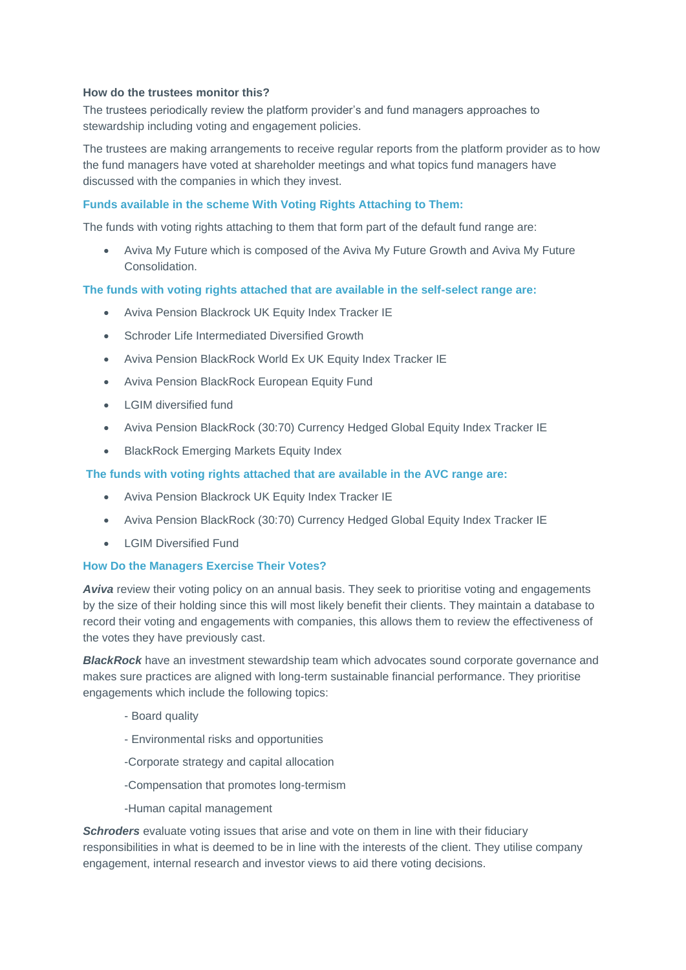# **How do the trustees monitor this?**

The trustees periodically review the platform provider's and fund managers approaches to stewardship including voting and engagement policies.

The trustees are making arrangements to receive regular reports from the platform provider as to how the fund managers have voted at shareholder meetings and what topics fund managers have discussed with the companies in which they invest.

## **Funds available in the scheme With Voting Rights Attaching to Them:**

The funds with voting rights attaching to them that form part of the default fund range are:

• Aviva My Future which is composed of the Aviva My Future Growth and Aviva My Future Consolidation.

## **The funds with voting rights attached that are available in the self-select range are:**

- Aviva Pension Blackrock UK Equity Index Tracker IE
- Schroder Life Intermediated Diversified Growth
- Aviva Pension BlackRock World Ex UK Equity Index Tracker IE
- Aviva Pension BlackRock European Equity Fund
- LGIM diversified fund
- Aviva Pension BlackRock (30:70) Currency Hedged Global Equity Index Tracker IE
- BlackRock Emerging Markets Equity Index

# **The funds with voting rights attached that are available in the AVC range are:**

- Aviva Pension Blackrock UK Equity Index Tracker IE
- Aviva Pension BlackRock (30:70) Currency Hedged Global Equity Index Tracker IE
- **LGIM Diversified Fund**

#### **How Do the Managers Exercise Their Votes?**

**Aviva** review their voting policy on an annual basis. They seek to prioritise voting and engagements by the size of their holding since this will most likely benefit their clients. They maintain a database to record their voting and engagements with companies, this allows them to review the effectiveness of the votes they have previously cast.

**BlackRock** have an investment stewardship team which advocates sound corporate governance and makes sure practices are aligned with long-term sustainable financial performance. They prioritise engagements which include the following topics:

- Board quality
- Environmental risks and opportunities
- -Corporate strategy and capital allocation
- -Compensation that promotes long-termism
- -Human capital management

**Schroders** evaluate voting issues that arise and vote on them in line with their fiduciary responsibilities in what is deemed to be in line with the interests of the client. They utilise company engagement, internal research and investor views to aid there voting decisions.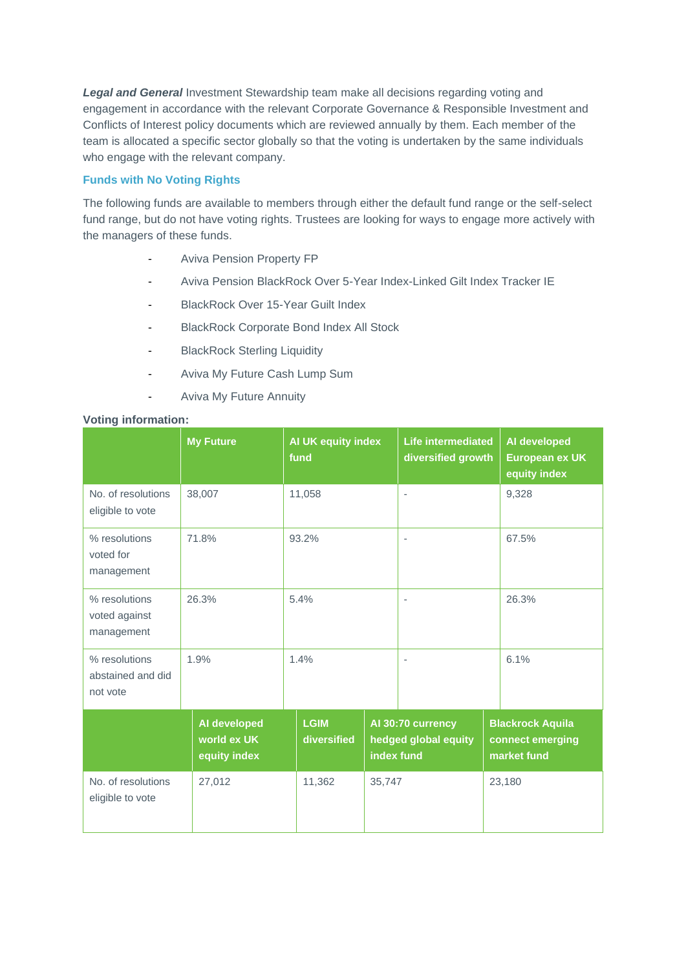*Legal and General* Investment Stewardship team make all decisions regarding voting and engagement in accordance with the relevant Corporate Governance & Responsible Investment and Conflicts of Interest policy documents which are reviewed annually by them. Each member of the team is allocated a specific sector globally so that the voting is undertaken by the same individuals who engage with the relevant company.

# **Funds with No Voting Rights**

The following funds are available to members through either the default fund range or the self-select fund range, but do not have voting rights. Trustees are looking for ways to engage more actively with the managers of these funds.

- Aviva Pension Property FP
- Aviva Pension BlackRock Over 5-Year Index-Linked Gilt Index Tracker IE
- BlackRock Over 15-Year Guilt Index
- BlackRock Corporate Bond Index All Stock
- BlackRock Sterling Liquidity
- Aviva My Future Cash Lump Sum
- Aviva My Future Annuity

# **Voting information:**

|                                                | <b>My Future</b>                            | Al UK equity index<br>fund | <b>Life intermediated</b><br>diversified growth         |        | Al developed<br><b>European ex UK</b><br>equity index      |  |
|------------------------------------------------|---------------------------------------------|----------------------------|---------------------------------------------------------|--------|------------------------------------------------------------|--|
| No. of resolutions<br>eligible to vote         | 38,007                                      | 11,058                     |                                                         |        | 9,328                                                      |  |
| % resolutions<br>voted for<br>management       | 71.8%<br>93.2%                              |                            | $\overline{\phantom{a}}$                                |        | 67.5%                                                      |  |
| % resolutions<br>voted against<br>management   | 26.3%                                       | 5.4%                       | $\overline{\phantom{a}}$                                |        | 26.3%                                                      |  |
| % resolutions<br>abstained and did<br>not vote | 1.9%                                        | 1.4%                       | $\overline{\phantom{a}}$                                |        | 6.1%                                                       |  |
|                                                | Al developed<br>world ex UK<br>equity index | <b>LGIM</b><br>diversified | Al 30:70 currency<br>hedged global equity<br>index fund |        | <b>Blackrock Aquila</b><br>connect emerging<br>market fund |  |
| No. of resolutions<br>eligible to vote         | 27,012                                      | 11,362                     | 35,747                                                  | 23,180 |                                                            |  |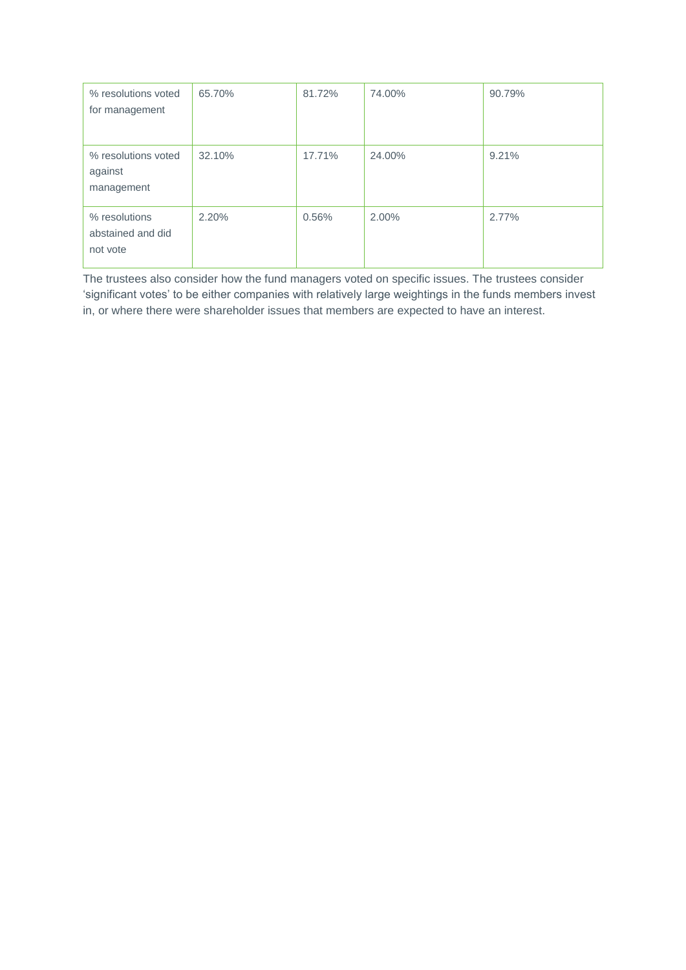| % resolutions voted<br>for management          | 65.70% | 81.72% | 74.00% | 90.79% |
|------------------------------------------------|--------|--------|--------|--------|
| % resolutions voted<br>against<br>management   | 32.10% | 17.71% | 24.00% | 9.21%  |
| % resolutions<br>abstained and did<br>not vote | 2.20%  | 0.56%  | 2.00%  | 2.77%  |

The trustees also consider how the fund managers voted on specific issues. The trustees consider 'significant votes' to be either companies with relatively large weightings in the funds members invest in, or where there were shareholder issues that members are expected to have an interest.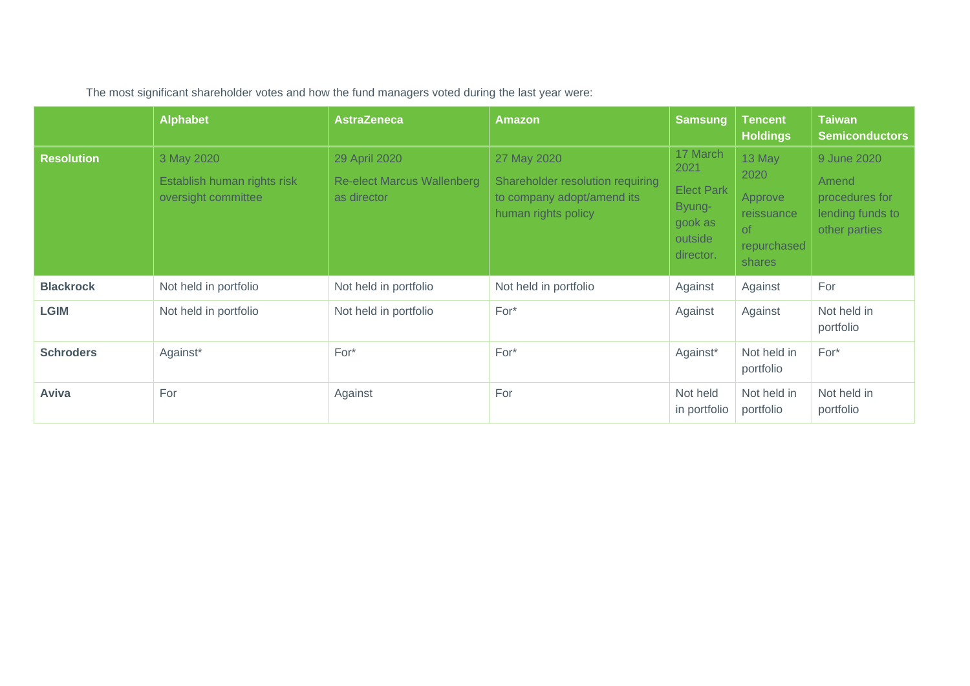The most significant shareholder votes and how the fund managers voted during the last year were:

|                   | <b>Alphabet</b>                                                  | <b>AstraZeneca</b>                                                | <b>Amazon</b>                                                                                        | <b>Samsung</b>                                                                     | <b>Tencent</b><br><b>Holdings</b>                                      | <b>Taiwan</b><br><b>Semiconductors</b>                                      |
|-------------------|------------------------------------------------------------------|-------------------------------------------------------------------|------------------------------------------------------------------------------------------------------|------------------------------------------------------------------------------------|------------------------------------------------------------------------|-----------------------------------------------------------------------------|
| <b>Resolution</b> | 3 May 2020<br>Establish human rights risk<br>oversight committee | 29 April 2020<br><b>Re-elect Marcus Wallenberg</b><br>as director | 27 May 2020<br>Shareholder resolution requiring<br>to company adopt/amend its<br>human rights policy | 17 March<br>2021<br><b>Elect Park</b><br>Byung-<br>gook as<br>outside<br>director. | 13 May<br>2020<br>Approve<br>reissuance<br>of<br>repurchased<br>shares | 9 June 2020<br>Amend<br>procedures for<br>lending funds to<br>other parties |
| <b>Blackrock</b>  | Not held in portfolio                                            | Not held in portfolio                                             | Not held in portfolio                                                                                | Against                                                                            | Against                                                                | For                                                                         |
| <b>LGIM</b>       | Not held in portfolio                                            | Not held in portfolio                                             | $For*$                                                                                               | Against                                                                            | Against                                                                | Not held in<br>portfolio                                                    |
| <b>Schroders</b>  | Against*                                                         | For*                                                              | For*                                                                                                 | Against*                                                                           | Not held in<br>portfolio                                               | For*                                                                        |
| Aviva             | For                                                              | Against                                                           | For                                                                                                  | Not held<br>in portfolio                                                           | Not held in<br>portfolio                                               | Not held in<br>portfolio                                                    |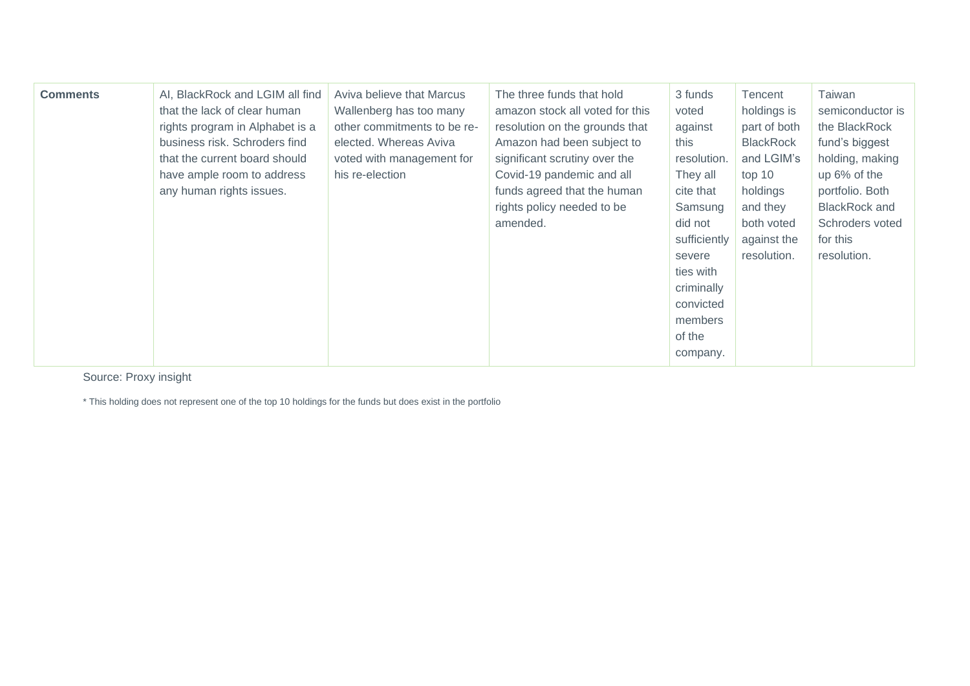| <b>Comments</b> | AI, BlackRock and LGIM all find<br>that the lack of clear human<br>rights program in Alphabet is a<br>business risk. Schroders find<br>that the current board should<br>have ample room to address<br>any human rights issues. | Aviva believe that Marcus<br>Wallenberg has too many<br>other commitments to be re-<br>elected. Whereas Aviva<br>voted with management for<br>his re-election | The three funds that hold<br>amazon stock all voted for this<br>resolution on the grounds that<br>Amazon had been subject to<br>significant scrutiny over the<br>Covid-19 pandemic and all<br>funds agreed that the human<br>rights policy needed to be<br>amended. | 3 funds<br>voted<br>against<br>this<br>resolution.<br>They all<br>cite that<br>Samsung<br>did not<br>sufficiently<br>severe<br>ties with<br>criminally<br>convicted<br>members<br>of the<br>company. | Tencent<br>holdings is<br>part of both<br><b>BlackRock</b><br>and LGIM's<br>top 10<br>holdings<br>and they<br>both voted<br>against the<br>resolution. | <b>Taiwan</b><br>semiconductor is<br>the BlackRock<br>fund's biggest<br>holding, making<br>up 6% of the<br>portfolio. Both<br><b>BlackRock and</b><br>Schroders voted<br>for this<br>resolution. |
|-----------------|--------------------------------------------------------------------------------------------------------------------------------------------------------------------------------------------------------------------------------|---------------------------------------------------------------------------------------------------------------------------------------------------------------|---------------------------------------------------------------------------------------------------------------------------------------------------------------------------------------------------------------------------------------------------------------------|------------------------------------------------------------------------------------------------------------------------------------------------------------------------------------------------------|--------------------------------------------------------------------------------------------------------------------------------------------------------|--------------------------------------------------------------------------------------------------------------------------------------------------------------------------------------------------|
|-----------------|--------------------------------------------------------------------------------------------------------------------------------------------------------------------------------------------------------------------------------|---------------------------------------------------------------------------------------------------------------------------------------------------------------|---------------------------------------------------------------------------------------------------------------------------------------------------------------------------------------------------------------------------------------------------------------------|------------------------------------------------------------------------------------------------------------------------------------------------------------------------------------------------------|--------------------------------------------------------------------------------------------------------------------------------------------------------|--------------------------------------------------------------------------------------------------------------------------------------------------------------------------------------------------|

Source: Proxy insight

\* This holding does not represent one of the top 10 holdings for the funds but does exist in the portfolio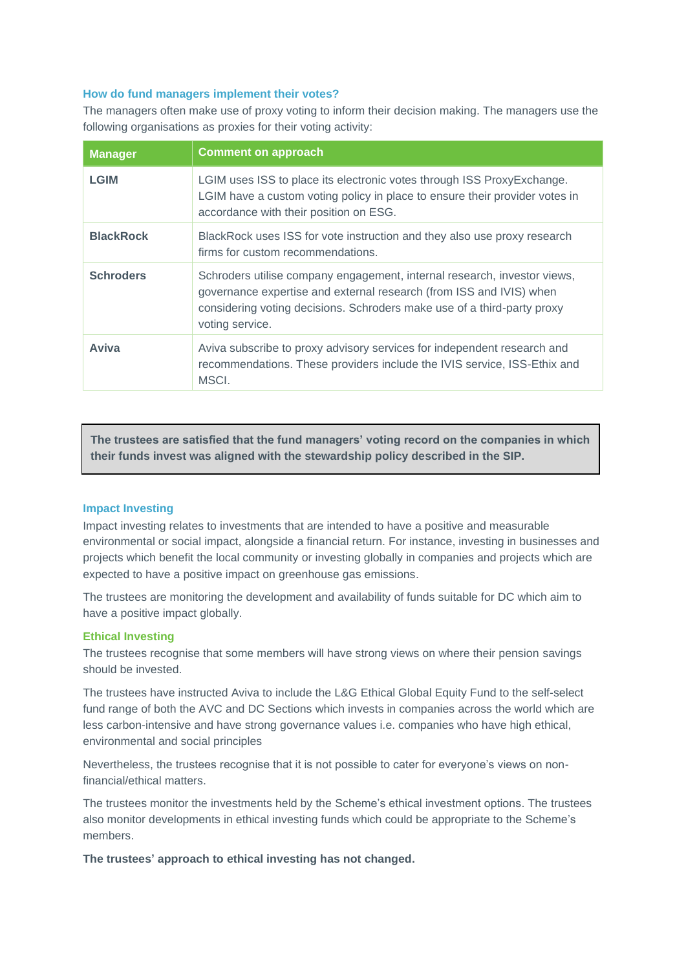#### **How do fund managers implement their votes?**

The managers often make use of proxy voting to inform their decision making. The managers use the following organisations as proxies for their voting activity:

| <b>Manager</b>   | <b>Comment on approach</b>                                                                                                                                                                                                                    |
|------------------|-----------------------------------------------------------------------------------------------------------------------------------------------------------------------------------------------------------------------------------------------|
| <b>LGIM</b>      | LGIM uses ISS to place its electronic votes through ISS ProxyExchange.<br>LGIM have a custom voting policy in place to ensure their provider votes in<br>accordance with their position on ESG.                                               |
| <b>BlackRock</b> | BlackRock uses ISS for vote instruction and they also use proxy research<br>firms for custom recommendations.                                                                                                                                 |
| <b>Schroders</b> | Schroders utilise company engagement, internal research, investor views,<br>governance expertise and external research (from ISS and IVIS) when<br>considering voting decisions. Schroders make use of a third-party proxy<br>voting service. |
| Aviva            | Aviva subscribe to proxy advisory services for independent research and<br>recommendations. These providers include the IVIS service, ISS-Ethix and<br>MSCI.                                                                                  |

# **The trustees are satisfied that the fund managers' voting record on the companies in which their funds invest was aligned with the stewardship policy described in the SIP.**

#### **Impact Investing**

Impact investing relates to investments that are intended to have a positive and measurable environmental or social impact, alongside a financial return. For instance, investing in businesses and projects which benefit the local community or investing globally in companies and projects which are expected to have a positive impact on greenhouse gas emissions.

The trustees are monitoring the development and availability of funds suitable for DC which aim to have a positive impact globally.

#### **Ethical Investing**

The trustees recognise that some members will have strong views on where their pension savings should be invested.

The trustees have instructed Aviva to include the L&G Ethical Global Equity Fund to the self-select fund range of both the AVC and DC Sections which invests in companies across the world which are less carbon-intensive and have strong governance values i.e. companies who have high ethical, environmental and social principles

Nevertheless, the trustees recognise that it is not possible to cater for everyone's views on nonfinancial/ethical matters.

The trustees monitor the investments held by the Scheme's ethical investment options. The trustees also monitor developments in ethical investing funds which could be appropriate to the Scheme's members.

**The trustees' approach to ethical investing has not changed.**